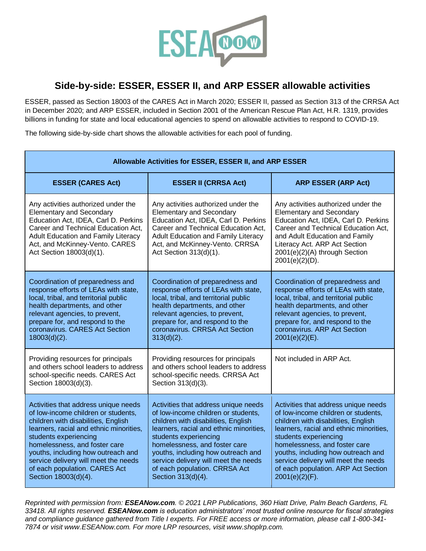

## **Side-by-side: ESSER, ESSER II, and ARP ESSER allowable activities**

ESSER, passed as Section 18003 of the CARES Act in March 2020; ESSER II, passed as Section 313 of the CRRSA Act in December 2020; and ARP ESSER, included in Section 2001 of the American Rescue Plan Act, H.R. 1319, provides billions in funding for state and local educational agencies to spend on allowable activities to respond to COVID-19.

The following side-by-side chart shows the allowable activities for each pool of funding.

| Allowable Activities for ESSER, ESSER II, and ARP ESSER                                                                                                                                                                                                                                                                                                        |                                                                                                                                                                                                                                                                                                                                                              |                                                                                                                                                                                                                                                                                                                                                                |  |  |
|----------------------------------------------------------------------------------------------------------------------------------------------------------------------------------------------------------------------------------------------------------------------------------------------------------------------------------------------------------------|--------------------------------------------------------------------------------------------------------------------------------------------------------------------------------------------------------------------------------------------------------------------------------------------------------------------------------------------------------------|----------------------------------------------------------------------------------------------------------------------------------------------------------------------------------------------------------------------------------------------------------------------------------------------------------------------------------------------------------------|--|--|
| <b>ESSER (CARES Act)</b>                                                                                                                                                                                                                                                                                                                                       | <b>ESSER II (CRRSA Act)</b>                                                                                                                                                                                                                                                                                                                                  | <b>ARP ESSER (ARP Act)</b>                                                                                                                                                                                                                                                                                                                                     |  |  |
| Any activities authorized under the<br><b>Elementary and Secondary</b><br>Education Act, IDEA, Carl D. Perkins<br>Career and Technical Education Act,<br><b>Adult Education and Family Literacy</b><br>Act, and McKinney-Vento. CARES<br>Act Section 18003(d)(1).                                                                                              | Any activities authorized under the<br><b>Elementary and Secondary</b><br>Education Act, IDEA, Carl D. Perkins<br>Career and Technical Education Act,<br><b>Adult Education and Family Literacy</b><br>Act, and McKinney-Vento. CRRSA<br>Act Section 313(d)(1).                                                                                              | Any activities authorized under the<br><b>Elementary and Secondary</b><br>Education Act, IDEA, Carl D. Perkins<br>Career and Technical Education Act,<br>and Adult Education and Family<br>Literacy Act. ARP Act Section<br>2001(e)(2)(A) through Section<br>$2001(e)(2)(D)$ .                                                                                 |  |  |
| Coordination of preparedness and<br>response efforts of LEAs with state,<br>local, tribal, and territorial public<br>health departments, and other<br>relevant agencies, to prevent,<br>prepare for, and respond to the<br>coronavirus. CARES Act Section<br>$18003(d)(2)$ .                                                                                   | Coordination of preparedness and<br>response efforts of LEAs with state,<br>local, tribal, and territorial public<br>health departments, and other<br>relevant agencies, to prevent,<br>prepare for, and respond to the<br>coronavirus. CRRSA Act Section<br>$313(d)(2)$ .                                                                                   | Coordination of preparedness and<br>response efforts of LEAs with state,<br>local, tribal, and territorial public<br>health departments, and other<br>relevant agencies, to prevent,<br>prepare for, and respond to the<br>coronavirus. ARP Act Section<br>$2001(e)(2)(E)$ .                                                                                   |  |  |
| Providing resources for principals<br>and others school leaders to address<br>school-specific needs. CARES Act<br>Section 18003(d)(3).                                                                                                                                                                                                                         | Providing resources for principals<br>and others school leaders to address<br>school-specific needs. CRRSA Act<br>Section 313(d)(3).                                                                                                                                                                                                                         | Not included in ARP Act.                                                                                                                                                                                                                                                                                                                                       |  |  |
| Activities that address unique needs<br>of low-income children or students,<br>children with disabilities, English<br>learners, racial and ethnic minorities,<br>students experiencing<br>homelessness, and foster care<br>youths, including how outreach and<br>service delivery will meet the needs<br>of each population. CARES Act<br>Section 18003(d)(4). | Activities that address unique needs<br>of low-income children or students,<br>children with disabilities, English<br>learners, racial and ethnic minorities,<br>students experiencing<br>homelessness, and foster care<br>youths, including how outreach and<br>service delivery will meet the needs<br>of each population. CRRSA Act<br>Section 313(d)(4). | Activities that address unique needs<br>of low-income children or students,<br>children with disabilities, English<br>learners, racial and ethnic minorities,<br>students experiencing<br>homelessness, and foster care<br>youths, including how outreach and<br>service delivery will meet the needs<br>of each population. ARP Act Section<br>2001(e)(2)(F). |  |  |

*Reprinted with permission from: ESEANow.com. © 2021 LRP Publications, 360 Hiatt Drive, Palm Beach Gardens, FL 33418. All rights reserved. ESEANow.com is education administrators' most trusted online resource for fiscal strategies and compliance guidance gathered from Title I experts. For FREE access or more information, please call 1-800-341- 7874 or visit www.ESEANow.com. For more LRP resources, visit www.shoplrp.com.*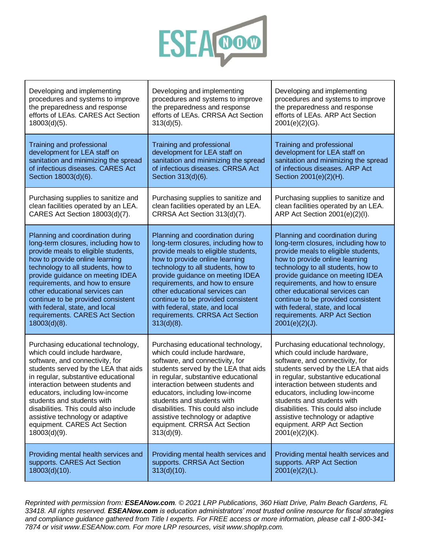

| Developing and implementing           | Developing and implementing           | Developing and implementing           |
|---------------------------------------|---------------------------------------|---------------------------------------|
| procedures and systems to improve     | procedures and systems to improve     | procedures and systems to improve     |
| the preparedness and response         | the preparedness and response         | the preparedness and response         |
| efforts of LEAs. CARES Act Section    | efforts of LEAs. CRRSA Act Section    | efforts of LEAs. ARP Act Section      |
| $18003(d)(5)$ .                       | $313(d)(5)$ .                         | $2001(e)(2)(G)$ .                     |
| Training and professional             | Training and professional             | Training and professional             |
| development for LEA staff on          | development for LEA staff on          | development for LEA staff on          |
| sanitation and minimizing the spread  | sanitation and minimizing the spread  | sanitation and minimizing the spread  |
| of infectious diseases. CARES Act     | of infectious diseases. CRRSA Act     | of infectious diseases. ARP Act       |
| Section 18003(d)(6).                  | Section 313(d)(6).                    | Section 2001(e)(2)(H).                |
| Purchasing supplies to sanitize and   | Purchasing supplies to sanitize and   | Purchasing supplies to sanitize and   |
| clean facilities operated by an LEA.  | clean facilities operated by an LEA.  | clean facilities operated by an LEA.  |
| CARES Act Section 18003(d)(7).        | CRRSA Act Section 313(d)(7).          | ARP Act Section 2001(e)(2)(l).        |
| Planning and coordination during      | Planning and coordination during      | Planning and coordination during      |
| long-term closures, including how to  | long-term closures, including how to  | long-term closures, including how to  |
| provide meals to eligible students,   | provide meals to eligible students,   | provide meals to eligible students,   |
| how to provide online learning        | how to provide online learning        | how to provide online learning        |
| technology to all students, how to    | technology to all students, how to    | technology to all students, how to    |
| provide guidance on meeting IDEA      | provide guidance on meeting IDEA      | provide guidance on meeting IDEA      |
| requirements, and how to ensure       | requirements, and how to ensure       | requirements, and how to ensure       |
| other educational services can        | other educational services can        | other educational services can        |
| continue to be provided consistent    | continue to be provided consistent    | continue to be provided consistent    |
| with federal, state, and local        | with federal, state, and local        | with federal, state, and local        |
| requirements. CARES Act Section       | requirements. CRRSA Act Section       | requirements. ARP Act Section         |
| $18003(d)(8)$ .                       | $313(d)(8)$ .                         | $2001(e)(2)(J)$ .                     |
| Purchasing educational technology,    | Purchasing educational technology,    | Purchasing educational technology,    |
| which could include hardware,         | which could include hardware,         | which could include hardware,         |
| software, and connectivity, for       | software, and connectivity, for       | software, and connectivity, for       |
| students served by the LEA that aids  | students served by the LEA that aids  | students served by the LEA that aids  |
| in regular, substantive educational   | in regular, substantive educational   | in regular, substantive educational   |
| interaction between students and      | interaction between students and      | interaction between students and      |
| educators, including low-income       | educators, including low-income       | educators, including low-income       |
| students and students with            | students and students with            | students and students with            |
| disabilities. This could also include | disabilities. This could also include | disabilities. This could also include |
| assistive technology or adaptive      | assistive technology or adaptive      | assistive technology or adaptive      |
| equipment. CARES Act Section          | equipment. CRRSA Act Section          | equipment. ARP Act Section            |
| $18003(d)(9)$ .                       | $313(d)(9)$ .                         | $2001(e)(2)(K)$ .                     |
| Providing mental health services and  | Providing mental health services and  | Providing mental health services and  |
| supports. CARES Act Section           | supports. CRRSA Act Section           | supports. ARP Act Section             |
| $18003(d)(10)$ .                      | $313(d)(10)$ .                        | $2001(e)(2)(L)$ .                     |

*Reprinted with permission from: ESEANow.com. © 2021 LRP Publications, 360 Hiatt Drive, Palm Beach Gardens, FL 33418. All rights reserved. ESEANow.com is education administrators' most trusted online resource for fiscal strategies and compliance guidance gathered from Title I experts. For FREE access or more information, please call 1-800-341- 7874 or visit www.ESEANow.com. For more LRP resources, visit www.shoplrp.com.*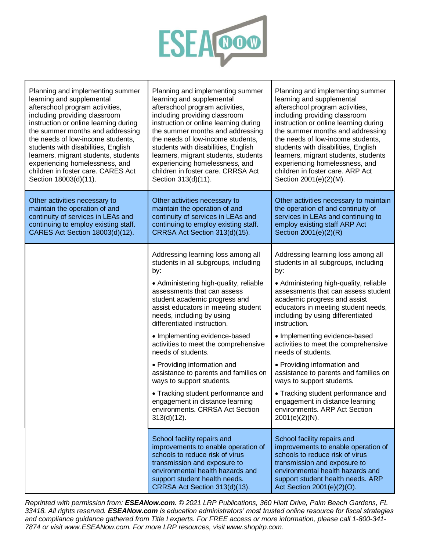

| Planning and implementing summer      | Planning and implementing summer                                                                                                                                                                                                                                                                                                                                                                                                                                                                                                                                                                                                 | Planning and implementing summer                                                                                                                                                                                                                                                                                                                                                                                                                                                                                                                                                                                                  |
|---------------------------------------|----------------------------------------------------------------------------------------------------------------------------------------------------------------------------------------------------------------------------------------------------------------------------------------------------------------------------------------------------------------------------------------------------------------------------------------------------------------------------------------------------------------------------------------------------------------------------------------------------------------------------------|-----------------------------------------------------------------------------------------------------------------------------------------------------------------------------------------------------------------------------------------------------------------------------------------------------------------------------------------------------------------------------------------------------------------------------------------------------------------------------------------------------------------------------------------------------------------------------------------------------------------------------------|
| learning and supplemental             | learning and supplemental                                                                                                                                                                                                                                                                                                                                                                                                                                                                                                                                                                                                        | learning and supplemental                                                                                                                                                                                                                                                                                                                                                                                                                                                                                                                                                                                                         |
| afterschool program activities,       | afterschool program activities,                                                                                                                                                                                                                                                                                                                                                                                                                                                                                                                                                                                                  | afterschool program activities,                                                                                                                                                                                                                                                                                                                                                                                                                                                                                                                                                                                                   |
| including providing classroom         | including providing classroom                                                                                                                                                                                                                                                                                                                                                                                                                                                                                                                                                                                                    | including providing classroom                                                                                                                                                                                                                                                                                                                                                                                                                                                                                                                                                                                                     |
| instruction or online learning during | instruction or online learning during                                                                                                                                                                                                                                                                                                                                                                                                                                                                                                                                                                                            | instruction or online learning during                                                                                                                                                                                                                                                                                                                                                                                                                                                                                                                                                                                             |
| the summer months and addressing      | the summer months and addressing                                                                                                                                                                                                                                                                                                                                                                                                                                                                                                                                                                                                 | the summer months and addressing                                                                                                                                                                                                                                                                                                                                                                                                                                                                                                                                                                                                  |
| the needs of low-income students,     | the needs of low-income students,                                                                                                                                                                                                                                                                                                                                                                                                                                                                                                                                                                                                | the needs of low-income students,                                                                                                                                                                                                                                                                                                                                                                                                                                                                                                                                                                                                 |
| students with disabilities, English   | students with disabilities, English                                                                                                                                                                                                                                                                                                                                                                                                                                                                                                                                                                                              | students with disabilities, English                                                                                                                                                                                                                                                                                                                                                                                                                                                                                                                                                                                               |
| learners, migrant students, students  | learners, migrant students, students                                                                                                                                                                                                                                                                                                                                                                                                                                                                                                                                                                                             | learners, migrant students, students                                                                                                                                                                                                                                                                                                                                                                                                                                                                                                                                                                                              |
| experiencing homelessness, and        | experiencing homelessness, and                                                                                                                                                                                                                                                                                                                                                                                                                                                                                                                                                                                                   | experiencing homelessness, and                                                                                                                                                                                                                                                                                                                                                                                                                                                                                                                                                                                                    |
| children in foster care. CARES Act    | children in foster care. CRRSA Act                                                                                                                                                                                                                                                                                                                                                                                                                                                                                                                                                                                               | children in foster care. ARP Act                                                                                                                                                                                                                                                                                                                                                                                                                                                                                                                                                                                                  |
| Section 18003(d)(11).                 | Section 313(d)(11).                                                                                                                                                                                                                                                                                                                                                                                                                                                                                                                                                                                                              | Section 2001(e)(2)(M).                                                                                                                                                                                                                                                                                                                                                                                                                                                                                                                                                                                                            |
| Other activities necessary to         | Other activities necessary to                                                                                                                                                                                                                                                                                                                                                                                                                                                                                                                                                                                                    | Other activities necessary to maintain                                                                                                                                                                                                                                                                                                                                                                                                                                                                                                                                                                                            |
| maintain the operation of and         | maintain the operation of and                                                                                                                                                                                                                                                                                                                                                                                                                                                                                                                                                                                                    | the operation of and continuity of                                                                                                                                                                                                                                                                                                                                                                                                                                                                                                                                                                                                |
| continuity of services in LEAs and    | continuity of services in LEAs and                                                                                                                                                                                                                                                                                                                                                                                                                                                                                                                                                                                               | services in LEAs and continuing to                                                                                                                                                                                                                                                                                                                                                                                                                                                                                                                                                                                                |
| continuing to employ existing staff.  | continuing to employ existing staff.                                                                                                                                                                                                                                                                                                                                                                                                                                                                                                                                                                                             | employ existing staff ARP Act                                                                                                                                                                                                                                                                                                                                                                                                                                                                                                                                                                                                     |
| CARES Act Section 18003(d)(12).       | CRRSA Act Section 313(d)(15).                                                                                                                                                                                                                                                                                                                                                                                                                                                                                                                                                                                                    | Section 2001(e)(2)(R)                                                                                                                                                                                                                                                                                                                                                                                                                                                                                                                                                                                                             |
|                                       | Addressing learning loss among all<br>students in all subgroups, including<br>by:<br>• Administering high-quality, reliable<br>assessments that can assess<br>student academic progress and<br>assist educators in meeting student<br>needs, including by using<br>differentiated instruction.<br>• Implementing evidence-based<br>activities to meet the comprehensive<br>needs of students.<br>• Providing information and<br>assistance to parents and families on<br>ways to support students.<br>• Tracking student performance and<br>engagement in distance learning<br>environments. CRRSA Act Section<br>$313(d)(12)$ . | Addressing learning loss among all<br>students in all subgroups, including<br>by:<br>• Administering high-quality, reliable<br>assessments that can assess student<br>academic progress and assist<br>educators in meeting student needs,<br>including by using differentiated<br>instruction.<br>• Implementing evidence-based<br>activities to meet the comprehensive<br>needs of students.<br>• Providing information and<br>assistance to parents and families on<br>ways to support students.<br>• Tracking student performance and<br>engagement in distance learning<br>environments. ARP Act Section<br>$2001(e)(2)(N)$ . |
|                                       | School facility repairs and<br>improvements to enable operation of<br>schools to reduce risk of virus<br>transmission and exposure to<br>environmental health hazards and<br>support student health needs.<br>CRRSA Act Section 313(d)(13).                                                                                                                                                                                                                                                                                                                                                                                      | School facility repairs and<br>improvements to enable operation of<br>schools to reduce risk of virus<br>transmission and exposure to<br>environmental health hazards and<br>support student health needs. ARP<br>Act Section 2001(e)(2)(O).                                                                                                                                                                                                                                                                                                                                                                                      |

*Reprinted with permission from: ESEANow.com. © 2021 LRP Publications, 360 Hiatt Drive, Palm Beach Gardens, FL 33418. All rights reserved. ESEANow.com is education administrators' most trusted online resource for fiscal strategies and compliance guidance gathered from Title I experts. For FREE access or more information, please call 1-800-341- 7874 or visit www.ESEANow.com. For more LRP resources, visit www.shoplrp.com.*